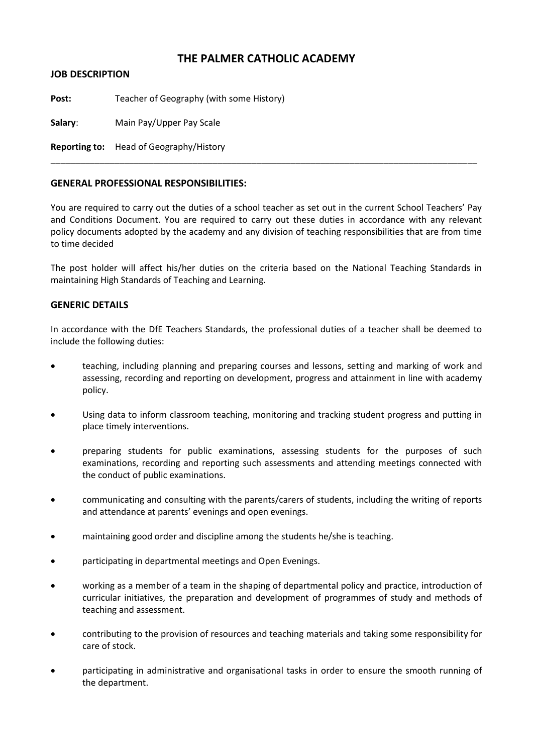## **THE PALMER CATHOLIC ACADEMY**

**JOB DESCRIPTION**

Post: Teacher of Geography (with some History)

**Salary**: Main Pay/Upper Pay Scale

**Reporting to:** Head of Geography/History

## **GENERAL PROFESSIONAL RESPONSIBILITIES:**

You are required to carry out the duties of a school teacher as set out in the current School Teachers' Pay and Conditions Document. You are required to carry out these duties in accordance with any relevant policy documents adopted by the academy and any division of teaching responsibilities that are from time to time decided

\_\_\_\_\_\_\_\_\_\_\_\_\_\_\_\_\_\_\_\_\_\_\_\_\_\_\_\_\_\_\_\_\_\_\_\_\_\_\_\_\_\_\_\_\_\_\_\_\_\_\_\_\_\_\_\_\_\_\_\_\_\_\_\_\_\_\_\_\_\_\_\_\_\_\_\_\_\_\_\_\_\_\_\_\_\_\_

The post holder will affect his/her duties on the criteria based on the National Teaching Standards in maintaining High Standards of Teaching and Learning.

## **GENERIC DETAILS**

In accordance with the DfE Teachers Standards, the professional duties of a teacher shall be deemed to include the following duties:

- teaching, including planning and preparing courses and lessons, setting and marking of work and assessing, recording and reporting on development, progress and attainment in line with academy policy.
- Using data to inform classroom teaching, monitoring and tracking student progress and putting in place timely interventions.
- preparing students for public examinations, assessing students for the purposes of such examinations, recording and reporting such assessments and attending meetings connected with the conduct of public examinations.
- communicating and consulting with the parents/carers of students, including the writing of reports and attendance at parents' evenings and open evenings.
- maintaining good order and discipline among the students he/she is teaching.
- participating in departmental meetings and Open Evenings.
- working as a member of a team in the shaping of departmental policy and practice, introduction of curricular initiatives, the preparation and development of programmes of study and methods of teaching and assessment.
- contributing to the provision of resources and teaching materials and taking some responsibility for care of stock.
- participating in administrative and organisational tasks in order to ensure the smooth running of the department.